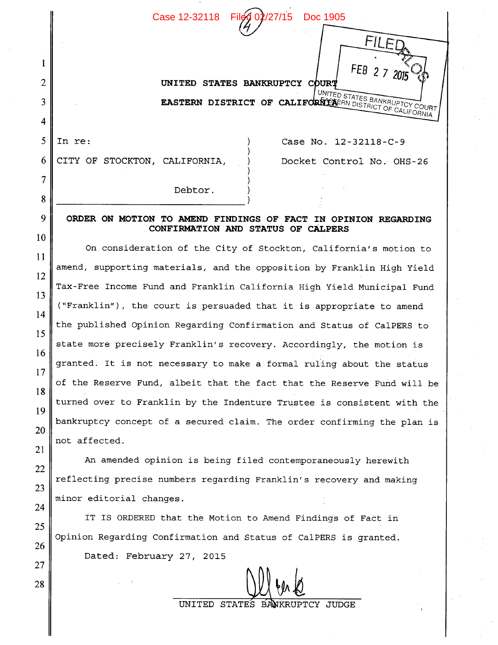Case 12-32118 Filed 02/27/15 Doc 1905

 $\mathcal{H}$ 

**UNITED STATES BANKRUPTCY**  UNITED STATES BANKRUPTCY COUR**EASTERN DISTRICT OF CALIFORNIA**ERN DISTRICT OF CALIFORNIA

CITY OF STOCKTON, CALIFORNIA, ) Docket Control No. OHS-26 6

1

2

3

4

5

7

8

9

10

11

12

13

14

15

16

17

18

19

20

21

22

23

24

25

26

27

28

In re: (a)  $\begin{array}{ccc} \text{Case No. } 12 - 32118 - C - 9 \end{array}$ 

*FEB 2 7 2015* 

 $FII$ **F** 

Debtor

## **ORDER ON MOTION TO AMEND FINDINGS OF FACT IN OPINION REGARDING CONFIRMATION AND STATUS OF CALPERS**

On consideration of the City of Stockton, California's motion to amend, supporting materials, and the opposition by Franklin High Yield Tax-Free Income Fund and Franklin California High Yield Municipal Fund ("Franklin"), the court is persuaded that it is appropriate to amend the published Opinion Regarding Confirmation and Status of Ca1PERS to state more precisely Franklin's recovery. Accordingly, the motion is granted. It is not necessary to make a formal ruling about the status of the Reserve Fund, albeit that the fact that the Reserve Fund will be turned over to Franklin by the Indenture Trustee is consistent with the bankruptcy concept of a secured claim. The order confirming the plan is not affected.

An amended opinion is being filed contemporaneously herewith reflecting precise numbers regarding Franklin's recovery and making minor editorial changes.

IT IS ORDERED that the Motion to Amend Findings of Fact in Opinion Regarding Confirmation and Status of Ca1PERS is granted. Dated: February 27, 2015

 $M$  for  $R$ 

UNITED STATES BANKRUPTCY JUDGE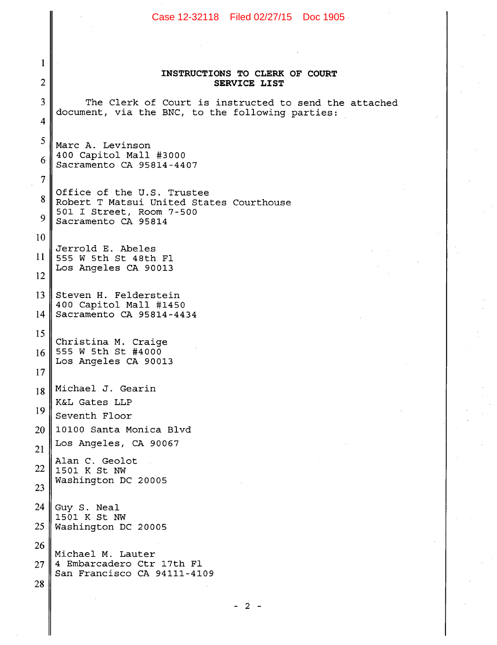## Case 12-32118 Filed 02/27/15 Doc 1905 $\mathbf{1}$ **INSTRUCTIONS TO CLERK OF COURT**   $\overline{2}$ **SERVICE LIST**  3 The Clerk of Court is instructed to send the attached document, via the BNC, to the following parties:  $\overline{\mathbf{4}}$ 5 Marc A. Levinson 400 Capitol Mall #3000 6 Sacramento CA 95814-4407  $\overline{7}$ Office of the U.S. Trustee 8 Robert T Matsui United States Courthouse 501 I Street, Room 7-500  $\boldsymbol{Q}$ Sacramento CA 95814 10 Jerrold E. Abeles 11 555 W 5th St 48th Fl Los Angeles CA 90013 12 13 Steven H. Felderstein 400 Capitol Mall #1450 14 Sacramento CA 95814-4434 15 Christina M. Craige 555 W 5th St #4000 16 Los Angeles CA 90013 17 Michael J. Gearin 18 K&L Gates LLP 19 Seventh Floor 20 10100 Santa Monica Blvd Los Angeles, CA 90067 21 Alan C. Geolot 22 1501 K St NW Washington DC 20005 23 24 Guy S. Neal 1501 K St NW 25 Washington DC 20005 26 Michael M. Lauter 4 Embarcadero Ctr 17th Fl 27 San Francisco CA 94111-4109 28

- 2 -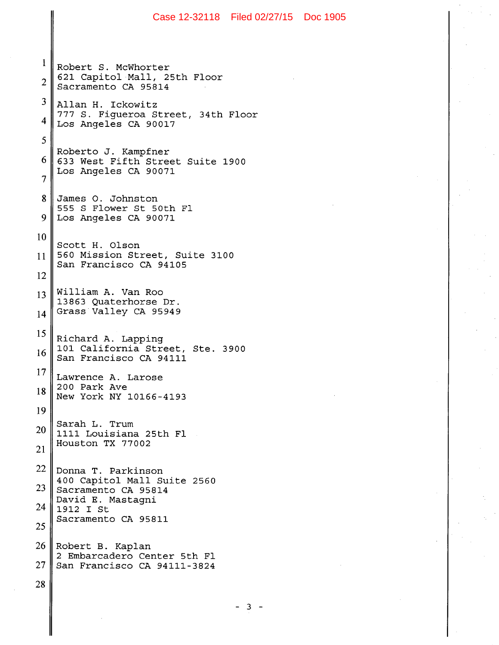Case 12-32118 Filed 02/27/15 Doc 1905 $\mathbf{1}$ Robert S. McWhorter 621 Capitol Mall, 25th Floor  $\overline{2}$ Sacramento CA 95814 3 Allan H. Ickowitz 777 S. F±gueroa Street, 34th Floor 4 Los Angeles CA 90017 5 Roberto J. Kampfner 6 633 West Fifth Street Suite 1900 Los Angeles CA 90071  $\overline{7}$ James 0. Johnston 8 555 S Flower St 50th Fl 9 Los Angeles CA 90071 10 Scott H. Olson 560 Mission Street, Suite 3100 11 San Francisco CA 94105 12 William A. Van Roo 13 13863 Quaterhorse Dr. Grass Valley CA 95949 14 15 Richard A. Lapping 101 California Street, Ste. 3900 16 San Francisco CA 94111 17 Lawrence A. Larose 200 Park Ave 18 New York NY 10166-4193 19 Sarah L. Trum 20 1111 Louisiana 25th Fl Houston TX 77002 21 22 Donna T. Parkinson 400 Capitol Mall Suite 2560 23 Sacramento CA 95814 David E. Mastagni 24 1912 I St Sacramento CA 95811 25 26 Robert B. Kaplan 2 Embarcadero Center 5th Fl 27 San Francisco CA 94111-3824  $28\,$